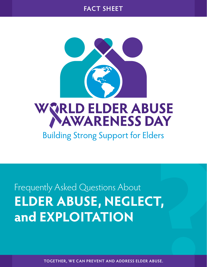



**Building Strong Support for Elders** 

Frequently Asked Questions About **ELDER ABUSE, NEGLECT, and EXPLOITATION** 

**TOGETHER, WE CAN PREVENT AND ADDRESS ELDER ABUSE.**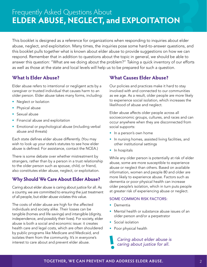# Frequently Asked Questions About **ELDER ABUSE, NEGLECT, and EXPLOITATION**

This booklet is designed as a reference for organizations when responding to inquiries about elder abuse, neglect, and exploitation. Many times, the inquiries pose some hard-to-answer questions, and this booklet pulls together what is known about elder abuse to provide suggestions on how we can respond. Remember that in addition to questions about the topic in general, we should be able to answer this question: "What are we doing about the problem?" Taking a quick inventory of our efforts as well as those at the state and local levels will help us to be prepared for such a question.

### **What Is Elder Abuse?**

Elder abuse refers to intentional or negligent acts by a caregiver or trusted individual that causes harm to an older person. Elder abuse takes many forms, including:

- Neglect or Isolation
- Physical abuse
- Sexual abuse
- Financial abuse and exploitation
- Emotional or psychological abuse (including verbal abuse and threats)

Each state defines elder abuse differently. (You may wish to look up your state's statutes to see how elder abuse is defined. For assistance, contact the NCEA.)

There is some debate over whether mistreatment by strangers, rather than by a person in a trust relationship to the older person such as spouse, child, or friend, also constitutes elder abuse, neglect, or exploitation.

# **Why Should We Care About Elder Abuse?**

Caring about elder abuse is caring about justice for all. As a country, we are committed to ensuring the just treatment of all people, but elder abuse violates this value.

The costs of elder abuse are high for the affected individuals and society alike. Their losses can be tangible (homes and life savings) and intangible (dignity, independence, and possibly their lives). For society, elder abuse is both a social and economic issue: it creates health care and legal costs, which are often shouldered by public programs like Medicare and Medicaid, and isolates them from the community. It's in everyone's interest to care about and prevent elder abuse.

# **What Causes Elder Abuse?**

Our policies and practices make it hard to stay involved with and connected to our communities as we age. As a result, older people are more likely to experience social isolation, which increases the likelihood of abuse and neglect.

Elder abuse affects older people across all socioeconomic groups, cultures, and races and can occur anywhere when they are disconnected from social supports:

- In a person's own home
- In nursing homes, assisted living facilities, and other institutional settings
- In hospitals

While any older person is potentially at risk of elder abuse, some are more susceptible to experience abuse or neglect than others. Based on available information, women and people 80 and older are more likely to experience abuse. Factors such as dementia or poor physical health can increase older people's isolation, which in turn puts people at greater risk of experiencing abuse or neglect.

#### SOME COMMON RISK FACTORS:

- Dementia
- Mental health or substance abuse issues of an older person and/or a perpetrator
- Social isolation
- Poor physical health

*Caring about elder abuse is caring about justice for all.*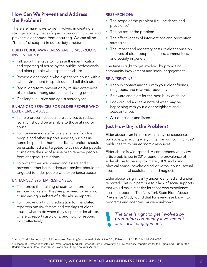### **How Can We Prevent and Address the Problem?**

There are many ways to get involved in creating a stronger society that safeguards our communities and prevents elder abuse from occurring. We can all be "beams" of support in our society structure.

#### BUILD PUBLIC AWARENESS AND GRASS-ROOTS INVOLVEMENT:

- Talk about the issue to increase the identification and reporting of abuse by the public, professionals, and older people who experience abuse
- Provide older people who experience abuse with a safe environment to speak out and tell their stories
- Begin long-term prevention by raising awareness of solutions among students and young people
- Challenge injustice and ageist stereotypes

#### ENHANCED SERVICES FOR OLDER PEOPLE WHO EXPERIENCE ABUSE:

- To help prevent abuse, more services to reduce isolation should be available to those at risk for abuse
- To intervene more effectively, shelters for older people and other support services, such as inhome help and in-home medical attention, should be established and targeted to at-risk older people to mitigate the risk of abuse or to remove people from dangerous situations
- To protect their well-being and assets and to prevent further harm, adequate services should be targeted to older people who experience abuse

#### ENHANCED SYSTEM RESPONSES:

- To improve the training of state adult protective services workers so they are prepared to respond to increasing numbers of elder abuse reports
- To improve continuing education for mandated reporters on: risk factors and red flags of elder abuse, what to do when they suspect elder abuse, where to report suspicions, and how to respond most effectively

#### RESEARCH ON:

- The scope of the problem (i.e., incidence and prevalence)
- The causes of the problem
- The effectiveness of interventions and prevention strategies
- The impact and monetary costs of elder abuse on the lives of older people, families, communities, and society in general

The time is right to get involved by promoting community involvement and social engagement.

#### BE A "SENTINEL"

- Keep in contact and talk with your older friends, neighbors, and relatives frequently
- Be aware and alert for the possibility of abuse
- Look around and take note of what may be happening with your older neighbors and acquaintances
- Ask questions and listen

### **Just How Big Is the Problem?**

Elder abuse is an injustice with many consequences for our society, affecting everything from our communities' public health to our economic resources.

Elder abuse is widespread. A comprehensive review article published in 2015 found the prevalence of elder abuse to be approximately 10% including physical abuse, psychological or verbal abuse, sexual abuse, financial exploitation, and neglect.<sup>1</sup>

Elder abuse is significantly under-identified and underreported. This is in part due to a lack of social supports that would make it easier for those who experience abuse to report it. The New York State Elder Abuse Prevalence Study found that for every case known to programs and agencies, 24 were unknown.2

*The time is right to get involved by promoting community involvement and social engagement.*

1 Lachs, M., & Pillemer, K. (2015). Elder abuse. *New England Journal of Medicine*, 373, 1947–56. doi: 10.1056/NEJMra1404688.

2 Lifespan of Greater Rochester, Inc., Weill Cornell Medical Center of Cornell University. & New York City Department for the Aging. (2011) Under the Radar: New York State Elder Abuse Prevalence Study. New York: Author